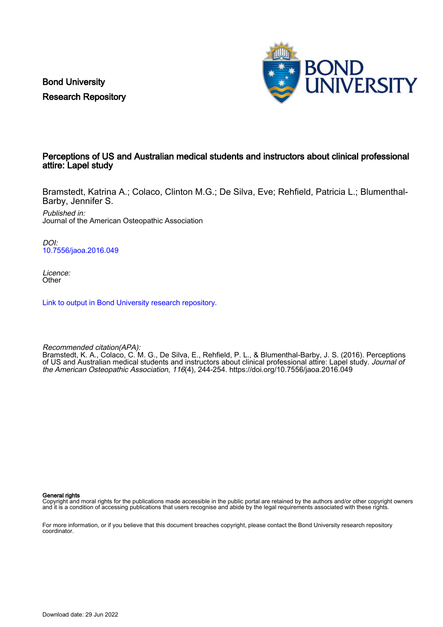Bond University Research Repository



# Perceptions of US and Australian medical students and instructors about clinical professional attire: Lapel study

Bramstedt, Katrina A.; Colaco, Clinton M.G.; De Silva, Eve; Rehfield, Patricia L.; Blumenthal-Barby, Jennifer S.

Published in: Journal of the American Osteopathic Association

DOI: [10.7556/jaoa.2016.049](https://doi.org/10.7556/jaoa.2016.049)

Licence: **Other** 

[Link to output in Bond University research repository.](https://research.bond.edu.au/en/publications/5dd7baad-ec07-4875-b213-6d4347dbca35)

Recommended citation(APA): Bramstedt, K. A., Colaco, C. M. G., De Silva, E., Rehfield, P. L., & Blumenthal-Barby, J. S. (2016). Perceptions of US and Australian medical students and instructors about clinical professional attire: Lapel study. Journal of the American Osteopathic Association, 116(4), 244-254.<https://doi.org/10.7556/jaoa.2016.049>

General rights

Copyright and moral rights for the publications made accessible in the public portal are retained by the authors and/or other copyright owners and it is a condition of accessing publications that users recognise and abide by the legal requirements associated with these rights.

For more information, or if you believe that this document breaches copyright, please contact the Bond University research repository coordinator.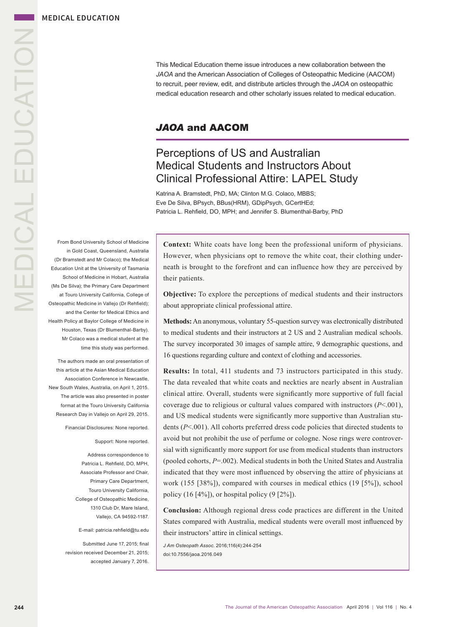MEDICAL EDUCATION **MEDICAL EDUCATION** 

This Medical Education theme issue introduces a new collaboration between the *JAOA* and the American Association of Colleges of Osteopathic Medicine (AACOM) to recruit, peer review, edit, and distribute articles through the *JAOA* on osteopathic medical education research and other scholarly issues related to medical education.

# *JAOA* and AACOM

# Perceptions of US and Australian Medical Students and Instructors About Clinical Professional Attire: LAPEL Study

Katrina A. Bramstedt, PhD, MA; Clinton M.G. Colaco, MBBS; Eve De Silva, BPsych, BBus(HRM), GDipPsych, GCertHEd; Patricia L. Rehfield, DO, MPH; and Jennifer S. Blumenthal-Barby, PhD

From Bond University School of Medicine in Gold Coast, Queensland, Australia (Dr Bramstedt and Mr Colaco); the Medical Education Unit at the University of Tasmania School of Medicine in Hobart, Australia (Ms De Silva); the Primary Care Department at Touro University California, College of Osteopathic Medicine in Vallejo (Dr Rehfield); and the Center for Medical Ethics and Health Policy at Baylor College of Medicine in Houston, Texas (Dr Blumenthal-Barby). Mr Colaco was a medical student at the time this study was performed.

The authors made an oral presentation of this article at the Asian Medical Education Association Conference in Newcastle, New South Wales, Australia, on April 1, 2015. The article was also presented in poster format at the Touro University California Research Day in Vallejo on April 29, 2015.

Financial Disclosures: None reported.

#### Support: None reported.

Address correspondence to Patricia L. Rehfield, DO, MPH, Associate Professor and Chair, Primary Care Department, Touro University California, College of Osteopathic Medicine, 1310 Club Dr, Mare Island, Vallejo, CA 94592-1187.

E-mail: patricia.rehfield@tu.edu

Submitted June 17, 2015; final revision received December 21, 2015; accepted January 7, 2016. **Context:** White coats have long been the professional uniform of physicians. However, when physicians opt to remove the white coat, their clothing underneath is brought to the forefront and can influence how they are perceived by their patients.

**Objective:** To explore the perceptions of medical students and their instructors about appropriate clinical professional attire.

**Methods:** An anonymous, voluntary 55-question survey was electronically distributed to medical students and their instructors at 2 US and 2 Australian medical schools. The survey incorporated 30 images of sample attire, 9 demographic questions, and 16 questions regarding culture and context of clothing and accessories.

**Results:** In total, 411 students and 73 instructors participated in this study. The data revealed that white coats and neckties are nearly absent in Australian clinical attire. Overall, students were significantly more supportive of full facial coverage due to religious or cultural values compared with instructors (*P*<.001), and US medical students were significantly more supportive than Australian students (*P*<.001). All cohorts preferred dress code policies that directed students to avoid but not prohibit the use of perfume or cologne. Nose rings were controversial with significantly more support for use from medical students than instructors (pooled cohorts, *P*=.002). Medical students in both the United States and Australia indicated that they were most influenced by observing the attire of physicians at work (155 [38%]), compared with courses in medical ethics (19 [5%]), school policy  $(16 \, [4\%])$ , or hospital policy  $(9 \, [2\%])$ .

**Conclusion:** Although regional dress code practices are different in the United States compared with Australia, medical students were overall most influenced by their instructors' attire in clinical settings.

*J Am Osteopath Assoc*. 2016;116(4):244-254 doi:10.7556/jaoa.2016.049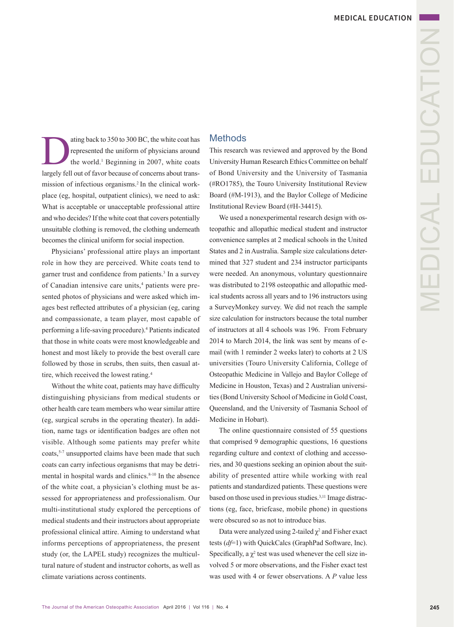ating back to 350 to 300 BC, the white coat has<br>represented the uniform of physicians around<br>the world.<sup>1</sup> Beginning in 2007, white coats<br>largely fell out of favor because of concerns about transrepresented the uniform of physicians around the world.<sup>1</sup> Beginning in 2007, white coats largely fell out of favor because of concerns about transmission of infectious organisms.2 In the clinical workplace (eg, hospital, outpatient clinics), we need to ask: What is acceptable or unacceptable professional attire and who decides? If the white coat that covers potentially unsuitable clothing is removed, the clothing underneath becomes the clinical uniform for social inspection.

Physicians' professional attire plays an important role in how they are perceived. White coats tend to garner trust and confidence from patients.<sup>3</sup> In a survey of Canadian intensive care units,<sup>4</sup> patients were presented photos of physicians and were asked which images best reflected attributes of a physician (eg, caring and compassionate, a team player, most capable of performing a life-saving procedure).4 Patients indicated that those in white coats were most knowledgeable and honest and most likely to provide the best overall care followed by those in scrubs, then suits, then casual attire, which received the lowest rating.4

Without the white coat, patients may have difficulty distinguishing physicians from medical students or other health care team members who wear similar attire (eg, surgical scrubs in the operating theater). In addition, name tags or identification badges are often not visible. Although some patients may prefer white coats,<sup>5-7</sup> unsupported claims have been made that such coats can carry infectious organisms that may be detrimental in hospital wards and clinics. $8-10$  In the absence of the white coat, a physician's clothing must be assessed for appropriateness and professionalism. Our multi-institutional study explored the perceptions of medical students and their instructors about appropriate professional clinical attire. Aiming to understand what informs perceptions of appropriateness, the present study (or, the LAPEL study) recognizes the multicultural nature of student and instructor cohorts, as well as climate variations across continents.

### **Methods**

This research was reviewed and approved by the Bond University Human Research Ethics Committee on behalf of Bond University and the University of Tasmania (#RO1785), the Touro University Institutional Review Board (#M-1913), and the Baylor College of Medicine Institutional Review Board (#H-34415).

We used a nonexperimental research design with osteopathic and allopathic medical student and instructor convenience samples at 2 medical schools in the United States and 2 in Australia. Sample size calculations determined that 327 student and 234 instructor participants were needed. An anonymous, voluntary questionnaire was distributed to 2198 osteopathic and allopathic medical students across all years and to 196 instructors using a SurveyMonkey survey. We did not reach the sample size calculation for instructors because the total number of instructors at all 4 schools was 196. From February 2014 to March 2014, the link was sent by means of email (with 1 reminder 2 weeks later) to cohorts at 2 US universities (Touro University California, College of Osteopathic Medicine in Vallejo and Baylor College of Medicine in Houston, Texas) and 2 Australian universities (Bond University School of Medicine in Gold Coast, Queensland, and the University of Tasmania School of Medicine in Hobart).

The online questionnaire consisted of 55 questions that comprised 9 demographic questions, 16 questions regarding culture and context of clothing and accessories, and 30 questions seeking an opinion about the suitability of presented attire while working with real patients and standardized patients. These questions were based on those used in previous studies.3,11 Image distractions (eg, face, briefcase, mobile phone) in questions were obscured so as not to introduce bias.

Data were analyzed using 2-tailed  $\chi^2$  and Fisher exact tests (*df*=1) with QuickCalcs (GraphPad Software, Inc). Specifically, a  $\chi^2$  test was used whenever the cell size involved 5 or more observations, and the Fisher exact test was used with 4 or fewer observations. A *P* value less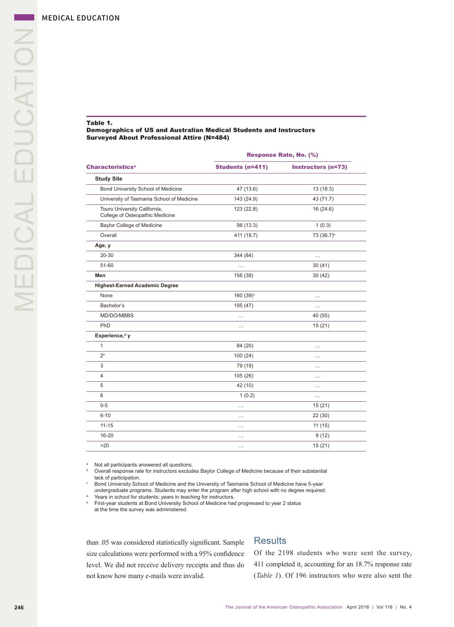#### Table 1.

#### Demographics of US and Australian Medical Students and Instructors Surveyed About Professional Attire (N=484)

|                                                                 |                         | Response Rate, No. (%)    |  |
|-----------------------------------------------------------------|-------------------------|---------------------------|--|
| <b>Characteristics<sup>a</sup></b>                              | <b>Students (n=411)</b> | <b>Instructors (n=73)</b> |  |
| <b>Study Site</b>                                               |                         |                           |  |
| Bond University School of Medicine                              | 47 (13.6)               | 13(18.3)                  |  |
| University of Tasmania School of Medicine                       | 143 (24.9)              | 43 (71.7)                 |  |
| Touro University California,<br>College of Osteopathic Medicine | 123 (22.8)              | 16(24.6)                  |  |
| <b>Baylor College of Medicine</b>                               | 98 (13.3)               | 1(0.3)                    |  |
| Overall                                                         | 411 (18.7)              | 73 (36.7) <sup>b</sup>    |  |
| Age, y                                                          |                         |                           |  |
| 20-30                                                           | 344 (84)                | $\cdots$                  |  |
| 51-60                                                           | .                       | 30(41)                    |  |
| Men                                                             | 156 (38)                | 30(42)                    |  |
| <b>Highest-Earned Academic Degree</b>                           |                         |                           |  |
| None                                                            | 160 (39) <sup>c</sup>   | $\cdots$                  |  |
| Bachelor's                                                      | 195 (47)                | $\cdots$                  |  |
| MD/DO/MBBS                                                      | $\cdots$                | 40 (55)                   |  |
| PhD                                                             | $\cdots$                | 15(21)                    |  |
| Experience, <sup>d</sup> y                                      |                         |                           |  |
| $\mathbf{1}$                                                    | 84 (20)                 | $\cdots$                  |  |
| 2 <sup>e</sup>                                                  | 100(24)                 | $\cdots$                  |  |
| 3                                                               | 79 (19)                 | $\cdots$                  |  |
| $\overline{4}$                                                  | 105 (26)                | $\cdots$                  |  |
| 5                                                               | 42 (10)                 | $\cdots$                  |  |
| 6                                                               | 1(0.2)                  | .                         |  |
| $0 - 5$                                                         | .                       | 15(21)                    |  |
| $6 - 10$                                                        | $\cdots$                | 22(30)                    |  |
| $11 - 15$                                                       | .                       | 11(15)                    |  |
| 16-20                                                           | $\cdots$                | 9(12)                     |  |
| >20                                                             |                         | 15(21)                    |  |

a Not all participants answered all questions.

b Overall response rate for instructors excludes Baylor College of Medicine because of their substantial lack of participation.

c Bond University School of Medicine and the University of Tasmania School of Medicine have 5-year undergraduate programs. Students may enter the program after high school with no degree required.<br>Years in school for students; years in teaching for instructors.

e First-year students at Bond University School of Medicine had progressed to year 2 status at the time the survey was administered.

than .05 was considered statistically significant. Sample size calculations were performed with a 95% confidence level. We did not receive delivery receipts and thus do not know how many e-mails were invalid.

## **Results**

Of the 2198 students who were sent the survey, 411 completed it, accounting for an 18.7% response rate (*Table 1*). Of 196 instructors who were also sent the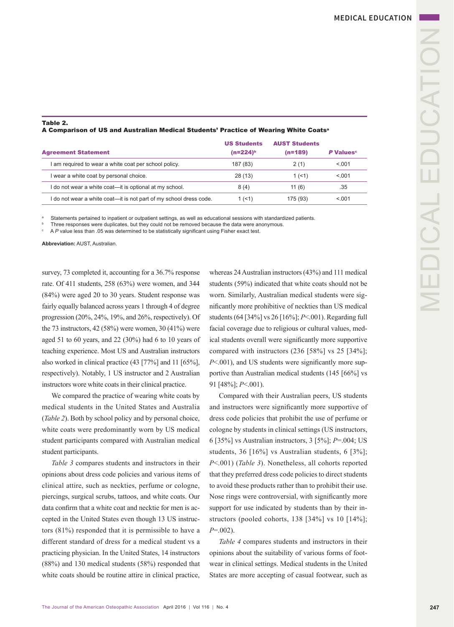#### Table 2. A Comparison of US and Australian Medical Students' Practice of Wearing White Coatsa

|                                                                    | <b>US Students</b> | <b>AUST Students</b> |                              |
|--------------------------------------------------------------------|--------------------|----------------------|------------------------------|
| <b>Agreement Statement</b>                                         | $(n=224)^{b}$      | $(n=189)$            | <b>P</b> Values <sup>c</sup> |
| I am required to wear a white coat per school policy.              | 187 (83)           | 2(1)                 | < 0.01                       |
| I wear a white coat by personal choice.                            | 28 (13)            | 1(51)                | < 0.01                       |
| I do not wear a white coat—it is optional at my school.            | 8(4)               | 11(6)                | .35                          |
| I do not wear a white coat—it is not part of my school dress code. | 1 $($ < 1)         | 175 (93)             | < 0.01                       |

a Statements pertained to inpatient or outpatient settings, as well as educational sessions with standardized patients.

b Three responses were duplicates, but they could not be removed because the data were anonymous.

c A *P* value less than .05 was determined to be statistically significant using Fisher exact test.

**Abbreviation:** AUST, Australian.

survey, 73 completed it, accounting for a 36.7% response rate. Of 411 students, 258 (63%) were women, and 344 (84%) were aged 20 to 30 years. Student response was fairly equally balanced across years 1 through 4 of degree progression (20%, 24%, 19%, and 26%, respectively). Of the 73 instructors, 42 (58%) were women, 30 (41%) were aged 51 to 60 years, and 22 (30%) had 6 to 10 years of teaching experience. Most US and Australian instructors also worked in clinical practice (43 [77%] and 11 [65%], respectively). Notably, 1 US instructor and 2 Australian instructors wore white coats in their clinical practice.

We compared the practice of wearing white coats by medical students in the United States and Australia (*Table 2*). Both by school policy and by personal choice, white coats were predominantly worn by US medical student participants compared with Australian medical student participants.

*Table 3* compares students and instructors in their opinions about dress code policies and various items of clinical attire, such as neckties, perfume or cologne, piercings, surgical scrubs, tattoos, and white coats. Our data confirm that a white coat and necktie for men is accepted in the United States even though 13 US instructors (81%) responded that it is permissible to have a different standard of dress for a medical student vs a practicing physician. In the United States, 14 instructors (88%) and 130 medical students (58%) responded that white coats should be routine attire in clinical practice,

whereas 24 Australian instructors (43%) and 111 medical students (59%) indicated that white coats should not be worn. Similarly, Australian medical students were significantly more prohibitive of neckties than US medical students (64 [34%] vs 26 [16%]; *P*<.001). Regarding full facial coverage due to religious or cultural values, medical students overall were significantly more supportive compared with instructors (236 [58%] vs 25 [34%]; *P*<.001), and US students were significantly more supportive than Australian medical students (145 [66%] vs 91 [48%]; *P*<.001).

Compared with their Australian peers, US students and instructors were significantly more supportive of dress code policies that prohibit the use of perfume or cologne by students in clinical settings (US instructors, 6 [35%] vs Australian instructors, 3 [5%]; *P*=.004; US students, 36 [16%] vs Australian students, 6 [3%]; *P*<.001) (*Table 3*). Nonetheless, all cohorts reported that they preferred dress code policies to direct students to avoid these products rather than to prohibit their use. Nose rings were controversial, with significantly more support for use indicated by students than by their instructors (pooled cohorts,  $138$  [34%] vs  $10$  [14%]; *P*=.002).

*Table 4* compares students and instructors in their opinions about the suitability of various forms of footwear in clinical settings. Medical students in the United States are more accepting of casual footwear, such as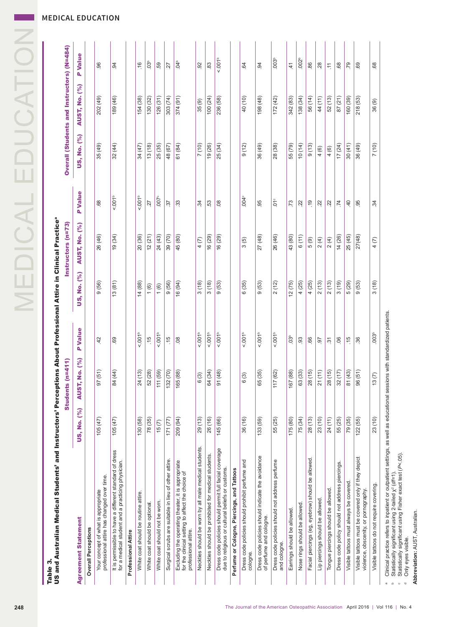MEDICAL EDUCATION

| US and Australian Medical Students' and Instructors' Perceptions About Professional Attire in Clinical Practiceª<br>Table 3    |             |                      |                         |             |                      |                      |                                            |                      |                         |
|--------------------------------------------------------------------------------------------------------------------------------|-------------|----------------------|-------------------------|-------------|----------------------|----------------------|--------------------------------------------|----------------------|-------------------------|
|                                                                                                                                |             | Students (n=411)     |                         |             | Instructors (n=73)   |                      | Overall (Students and Instructors) (N=484) |                      |                         |
| <b>Agreement Statement</b>                                                                                                     | US, No. (%) | <b>AUST, No. (%)</b> | <b>P</b> Value          | US, No. (%) | <b>AUST, No. (%)</b> | <b>P</b> Value       | US, No. (%)                                | <b>AUST, No. (%)</b> | P Value                 |
| <b>Overall Perceptions</b>                                                                                                     |             |                      |                         |             |                      |                      |                                            |                      |                         |
| Your concept of what is appropriate<br>professional attire has changed over time.                                              | 105(47)     | 97(51)               | $\overline{4}$          | 9(56)       | 26 (46)              | 89.                  | 35 (49)                                    | 202 (49)             | 96                      |
| It is permissible to have a different standard of dress<br>for a medical student and a practicing physician.                   | 105(47)     | 84 (44)              | 69                      | 13(81)      | (34)                 | 0.001 <sup>b</sup>   | 32(44)                                     | 189 (46)             | 94                      |
| Professional Attire                                                                                                            |             |                      |                         |             |                      |                      |                                            |                      |                         |
| White coat should be routine attire.                                                                                           | 130 (58)    | 24(13)               | 0.001 <sup>b</sup>      | 14 (88)     | 20 (36)              | 5.001 <sup>b</sup>   | 34 (47)                                    | 154 (38)             | .16                     |
| White coat should be optional.                                                                                                 | 78 (35)     | 52 (28)              | $\frac{15}{2}$          | 1(6)        | 12(21)               | 27                   | 13(18)                                     | 130 (32)             | 03 <sup>b</sup>         |
| White coat should not be worn.                                                                                                 | 15(7)       | 111 (59)             | 0.001                   | 1(6)        | 24 (43)              | $-007$               | 25 (35)                                    | 126(31)              | 59                      |
| Surgical scrubs are suitable in lieu of other attire.                                                                          | 171(77)     | 132 (70)             | $-15$                   | 9(56)       | 39 (70)              | $\ddot{\mathcal{E}}$ | 48 (67)                                    | 303 (74)             | $\overline{27}$         |
| Excluding the operating theater, it is appropriate<br>for the clinical setting to affect the choice of<br>professional attire. | 209 (94)    | 165 (88)             | $\overline{0}$          | 16 (94)     | 45 (80)              | $33\,$               | 61 (84)                                    | 374 (91)             | $\frac{4}{5}$           |
| Neckties should be worn by all male medical students.                                                                          | 29 (13)     | 6(3)                 | 001 <sup>b</sup>        | 3(18)       | 4(7)                 | $\ddot{a}$           | (10)                                       | 35(9)                | $\overline{9}$          |
| Neckties should be prohibited for medical students.                                                                            | 26 (16)     | 64 (34)              | 0.001 <sup>b</sup>      | 3(18)       | 16 (29)              | 53                   | 19 (26)                                    | 100 (24)             | 83                      |
| Dress code policies should permit full facial coverage<br>due to religious or cultural beliefs or customs.                     | 145 (66)    | 91 (48)              | 001 <sup>b</sup>        | 9(53)       | 16 (29)              | 08                   | 25 (34)                                    | 236 (58)             | 001 <sup>b</sup>        |
| Perfume or Cologne, Piercings, and Tattoos                                                                                     |             |                      |                         |             |                      |                      |                                            |                      |                         |
| Dress code policies should prohibit perfume and<br>cologne.                                                                    | 36 (16)     | 6(3)                 | 001 <sup>b</sup>        | 6(35)       | 3(5)                 | .004                 | 9(12)                                      | 40 (10)              | 64                      |
| Dress code policies should indicate the avoidance<br>of perfume and cologne.                                                   | 133(59)     | 65 (35)              | 001 <sup>b</sup>        | 9(53)       | 27 (48)              | 95                   | 36 (49)                                    | 198 (48)             | 94                      |
| Dress code policies should not address perfume<br>and cologne.                                                                 | 55 (25)     | 117 (62)             | 0.001 <sup>b</sup>      | 2(12)       | 26 (46)              | $\sum_{i=1}^{n}$     | 28 (38)                                    | 172(42)              | 003 <sup>b</sup>        |
| Earrings should be allowed.                                                                                                    | 175 (80)    | 167 (88)             | $\overline{\mathrm{c}}$ | 12(75)      | 43 (80)              | $\ddot{v}$           | 55 (79)                                    | 342 (83)             | $\pm$                   |
| Nose rings should be allowed                                                                                                   | 75 (34)     | 63 (33)              | 93                      | 4(25)       | 6(11)                | $22$                 | (10)(14)                                   | 138 (34)             | .002 <sup>b</sup>       |
| Facial piercings (eg, eyebrow) should be allowed.                                                                              | 28 (13)     | 28(15)               | 66                      | 4(25)       | 5(9)                 | $\frac{9}{2}$        | 9(13)                                      | 56 (14)              | 86                      |
| Lip piercings should be allowed                                                                                                | 23 (10)     | 21(11)               | <u>26</u>               | 2(13)       | 2(4)                 | $\overline{2}$       | 4(6)                                       | 44 (11)              | 28                      |
| Tongue piercings should be allowed.                                                                                            | 24 (11)     | 28(15)               | $\tilde{\mathcal{E}}$   | 2(13)       | 2(4)                 | $\overline{c}$       | 4(6)                                       | 52 (13)              | $\overleftarrow{\cdot}$ |
| Dress code policy should not address piercings.                                                                                | 55 (25)     | 32(17)               | 06                      | 3(19)       | 14(26)               | .74                  | 17(24)                                     | 87(21)               | $68$                    |
| Visible tattoos must always be covered.                                                                                        | 79 (35)     | 81 (43)              | $\frac{1}{2}$           | 5(29)       | 25 (45)              | $\overline{a}$       | 30(41)                                     | 160 (39)             | .79                     |
| Visible tattoos must be covered only if they depict<br>violence, obscenity, or pornography.                                    | 122(55)     | 96(51)               | 36                      | 9(53)       | 27(48)               | 95                   | 36 (49)                                    | 218 (53)             | 69                      |
| Visible tattoos do not require covering.                                                                                       | 23 (10)     | 13(7)                | .003 <sup>b</sup>       | 3(18)       | 4(7)                 | ż.                   | (10)                                       | 36(9)                | 68                      |

**Abbreviation:** AUST, Australian.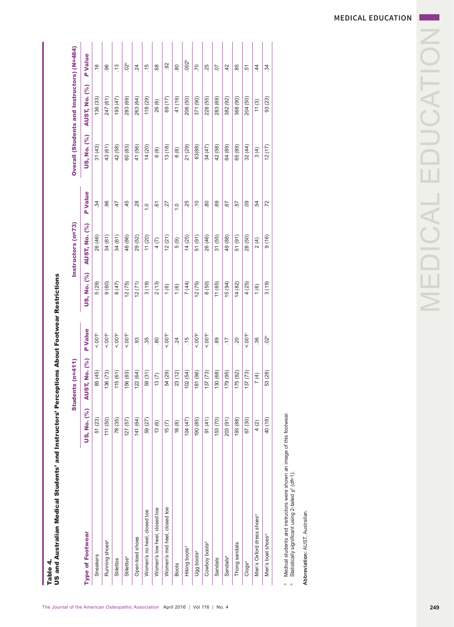| <b>AUST, No. (%)</b><br>31(55)<br>49 (88)<br>51(91)<br>26 (46)<br>34(61)<br>34(61)<br>48 (86)<br>29 (52)<br>12(21)<br>14(25)<br>51(91)<br>26 (46)<br>11(20)<br>28 (50)<br>5(9)<br>2(4)<br>4(7)<br>US, No. (%)<br>5 (29)<br>12(75)<br>12(71)<br>3(19)<br>12(75)<br>11 (65)<br>15 (94)<br>14(82)<br>9(60)<br>2(13)<br>7(44)<br>8(50)<br>4(25)<br>(19)<br>(47)<br>(6)<br>1(6)<br>1(6)<br><b>P</b> Value<br>$<001p$<br>5.001 <sup>b</sup><br>001 <sup>b</sup><br>001 <sup>b</sup><br>001 <sup>b</sup><br>001 <sup>b</sup><br>$<0.01p$<br>001 <sup>b</sup><br>93<br>$\frac{5}{2}$<br>$_{89}$<br>$\tilde{S}^{\circ}$<br>35<br>$\overline{80}$<br>$\overline{24}$<br>20<br>36<br>$\overline{\cdot}$<br><b>AUST, No. (%)</b><br>59 (31)<br>23 (12)<br>130 (68)<br>179 (95)<br>53 (28)<br>85 (45)<br>136(73)<br>156 (83)<br>122(64)<br>54 (29)<br>102(54)<br>181 (96)<br>137(73)<br>175 (92)<br>137(73)<br>115(61)<br>7(4)<br>13(7)<br>US, No. (%)<br>141 (64)<br>203 (91)<br>51 (23)<br>153 (70)<br>40 (18)<br>111 (50)<br>78 (35)<br>127(57)<br>190 (85)<br>91(41)<br>193 (88)<br>59 (27)<br>104(47)<br>67 (30)<br>18(8)<br>15(7)<br>13(6)<br>4(2)<br>Women's mid heel, closed toe<br>Women's low heel, closed toe<br>Women's no heel, closed toe<br>Men's Oxford dress shoes <sup>ª</sup><br><b>Type of Footwear</b><br>Men's boat shoes <sup>a</sup><br>Open-toed shoes<br>Running shoes <sup>a</sup><br>Cowboy boots <sup>a</sup><br>Thong sandals<br>Hiking boots <sup>a</sup><br>Ugg boots <sup>a</sup><br>Sneakers<br>Stilettos <sup>ª</sup><br>Sandals <sup>a</sup><br>Sandals<br>Stilettos<br>Clogs <sup>a</sup><br><b>Boots</b> | <b>P</b> Value<br>45<br>$\ddot{34}$<br>96<br>28<br>47<br>$\overline{6}$<br>27<br>$\frac{0}{1}$<br>$\frac{1}{2}$ | US, No. (%)<br>60 (83)<br>41 (56)<br>14(20)<br>31 (43)<br>43 (61)<br>13(18)<br>42 (58)<br>6(8) | <b>AUST, No. (%)</b><br>283 (69)<br>263 (64)<br>247 (61)<br>118 (29)<br>69 (17)<br>136 (33)<br>193 (47)<br>26 (6) | <b>P</b> Value<br>02 <sup>b</sup><br>92<br>$\frac{6}{1}$<br>$\widetilde{\mathcal{L}}$<br>$\frac{5}{2}$<br>96<br>24<br>$68$ |
|-----------------------------------------------------------------------------------------------------------------------------------------------------------------------------------------------------------------------------------------------------------------------------------------------------------------------------------------------------------------------------------------------------------------------------------------------------------------------------------------------------------------------------------------------------------------------------------------------------------------------------------------------------------------------------------------------------------------------------------------------------------------------------------------------------------------------------------------------------------------------------------------------------------------------------------------------------------------------------------------------------------------------------------------------------------------------------------------------------------------------------------------------------------------------------------------------------------------------------------------------------------------------------------------------------------------------------------------------------------------------------------------------------------------------------------------------------------------------------------------------------------------------------------------------------------------------------------------------------------------------------------|-----------------------------------------------------------------------------------------------------------------|------------------------------------------------------------------------------------------------|-------------------------------------------------------------------------------------------------------------------|----------------------------------------------------------------------------------------------------------------------------|
|                                                                                                                                                                                                                                                                                                                                                                                                                                                                                                                                                                                                                                                                                                                                                                                                                                                                                                                                                                                                                                                                                                                                                                                                                                                                                                                                                                                                                                                                                                                                                                                                                                   |                                                                                                                 |                                                                                                |                                                                                                                   |                                                                                                                            |
|                                                                                                                                                                                                                                                                                                                                                                                                                                                                                                                                                                                                                                                                                                                                                                                                                                                                                                                                                                                                                                                                                                                                                                                                                                                                                                                                                                                                                                                                                                                                                                                                                                   |                                                                                                                 |                                                                                                |                                                                                                                   |                                                                                                                            |
|                                                                                                                                                                                                                                                                                                                                                                                                                                                                                                                                                                                                                                                                                                                                                                                                                                                                                                                                                                                                                                                                                                                                                                                                                                                                                                                                                                                                                                                                                                                                                                                                                                   |                                                                                                                 |                                                                                                |                                                                                                                   |                                                                                                                            |
|                                                                                                                                                                                                                                                                                                                                                                                                                                                                                                                                                                                                                                                                                                                                                                                                                                                                                                                                                                                                                                                                                                                                                                                                                                                                                                                                                                                                                                                                                                                                                                                                                                   |                                                                                                                 |                                                                                                |                                                                                                                   |                                                                                                                            |
|                                                                                                                                                                                                                                                                                                                                                                                                                                                                                                                                                                                                                                                                                                                                                                                                                                                                                                                                                                                                                                                                                                                                                                                                                                                                                                                                                                                                                                                                                                                                                                                                                                   |                                                                                                                 |                                                                                                |                                                                                                                   |                                                                                                                            |
|                                                                                                                                                                                                                                                                                                                                                                                                                                                                                                                                                                                                                                                                                                                                                                                                                                                                                                                                                                                                                                                                                                                                                                                                                                                                                                                                                                                                                                                                                                                                                                                                                                   |                                                                                                                 |                                                                                                |                                                                                                                   |                                                                                                                            |
|                                                                                                                                                                                                                                                                                                                                                                                                                                                                                                                                                                                                                                                                                                                                                                                                                                                                                                                                                                                                                                                                                                                                                                                                                                                                                                                                                                                                                                                                                                                                                                                                                                   |                                                                                                                 |                                                                                                |                                                                                                                   |                                                                                                                            |
|                                                                                                                                                                                                                                                                                                                                                                                                                                                                                                                                                                                                                                                                                                                                                                                                                                                                                                                                                                                                                                                                                                                                                                                                                                                                                                                                                                                                                                                                                                                                                                                                                                   |                                                                                                                 |                                                                                                |                                                                                                                   |                                                                                                                            |
|                                                                                                                                                                                                                                                                                                                                                                                                                                                                                                                                                                                                                                                                                                                                                                                                                                                                                                                                                                                                                                                                                                                                                                                                                                                                                                                                                                                                                                                                                                                                                                                                                                   |                                                                                                                 |                                                                                                |                                                                                                                   |                                                                                                                            |
|                                                                                                                                                                                                                                                                                                                                                                                                                                                                                                                                                                                                                                                                                                                                                                                                                                                                                                                                                                                                                                                                                                                                                                                                                                                                                                                                                                                                                                                                                                                                                                                                                                   |                                                                                                                 | $6(8)$                                                                                         | 41 (19)                                                                                                           | 80                                                                                                                         |
|                                                                                                                                                                                                                                                                                                                                                                                                                                                                                                                                                                                                                                                                                                                                                                                                                                                                                                                                                                                                                                                                                                                                                                                                                                                                                                                                                                                                                                                                                                                                                                                                                                   | .25                                                                                                             | 21 (29)                                                                                        | 206 (50)                                                                                                          | .002 <sup>b</sup>                                                                                                          |
|                                                                                                                                                                                                                                                                                                                                                                                                                                                                                                                                                                                                                                                                                                                                                                                                                                                                                                                                                                                                                                                                                                                                                                                                                                                                                                                                                                                                                                                                                                                                                                                                                                   | $\tilde{=}$                                                                                                     | 63(88)                                                                                         | 371 (90)                                                                                                          | $\overline{70}$                                                                                                            |
|                                                                                                                                                                                                                                                                                                                                                                                                                                                                                                                                                                                                                                                                                                                                                                                                                                                                                                                                                                                                                                                                                                                                                                                                                                                                                                                                                                                                                                                                                                                                                                                                                                   | $\rm ^{80}$                                                                                                     | 34 (47)                                                                                        | 228 (55)                                                                                                          | 25                                                                                                                         |
|                                                                                                                                                                                                                                                                                                                                                                                                                                                                                                                                                                                                                                                                                                                                                                                                                                                                                                                                                                                                                                                                                                                                                                                                                                                                                                                                                                                                                                                                                                                                                                                                                                   | 69                                                                                                              | 42 (58)                                                                                        | 283 (69)                                                                                                          | $\overline{0}$                                                                                                             |
|                                                                                                                                                                                                                                                                                                                                                                                                                                                                                                                                                                                                                                                                                                                                                                                                                                                                                                                                                                                                                                                                                                                                                                                                                                                                                                                                                                                                                                                                                                                                                                                                                                   | 67                                                                                                              | 64 (89)                                                                                        | 382 (92)                                                                                                          | 42                                                                                                                         |
|                                                                                                                                                                                                                                                                                                                                                                                                                                                                                                                                                                                                                                                                                                                                                                                                                                                                                                                                                                                                                                                                                                                                                                                                                                                                                                                                                                                                                                                                                                                                                                                                                                   | 57                                                                                                              | 65 (89)                                                                                        | 368 (90)                                                                                                          | 85                                                                                                                         |
|                                                                                                                                                                                                                                                                                                                                                                                                                                                                                                                                                                                                                                                                                                                                                                                                                                                                                                                                                                                                                                                                                                                                                                                                                                                                                                                                                                                                                                                                                                                                                                                                                                   | 09                                                                                                              | 32(44)                                                                                         | 204 (50)                                                                                                          | ŗò                                                                                                                         |
|                                                                                                                                                                                                                                                                                                                                                                                                                                                                                                                                                                                                                                                                                                                                                                                                                                                                                                                                                                                                                                                                                                                                                                                                                                                                                                                                                                                                                                                                                                                                                                                                                                   | $-54$                                                                                                           | 3(4)                                                                                           | 11(3)                                                                                                             | 44                                                                                                                         |
|                                                                                                                                                                                                                                                                                                                                                                                                                                                                                                                                                                                                                                                                                                                                                                                                                                                                                                                                                                                                                                                                                                                                                                                                                                                                                                                                                                                                                                                                                                                                                                                                                                   | .72<br>9(16)                                                                                                    | 12(17)                                                                                         | 93 (23)                                                                                                           | 34                                                                                                                         |
| Medical students and instructors were shown an image of this footwear.<br>Statistically significant using 2-tailed $\chi^2$ (df=1).                                                                                                                                                                                                                                                                                                                                                                                                                                                                                                                                                                                                                                                                                                                                                                                                                                                                                                                                                                                                                                                                                                                                                                                                                                                                                                                                                                                                                                                                                               |                                                                                                                 |                                                                                                |                                                                                                                   |                                                                                                                            |
| Abbreviation: AUST, Australian.                                                                                                                                                                                                                                                                                                                                                                                                                                                                                                                                                                                                                                                                                                                                                                                                                                                                                                                                                                                                                                                                                                                                                                                                                                                                                                                                                                                                                                                                                                                                                                                                   |                                                                                                                 |                                                                                                |                                                                                                                   |                                                                                                                            |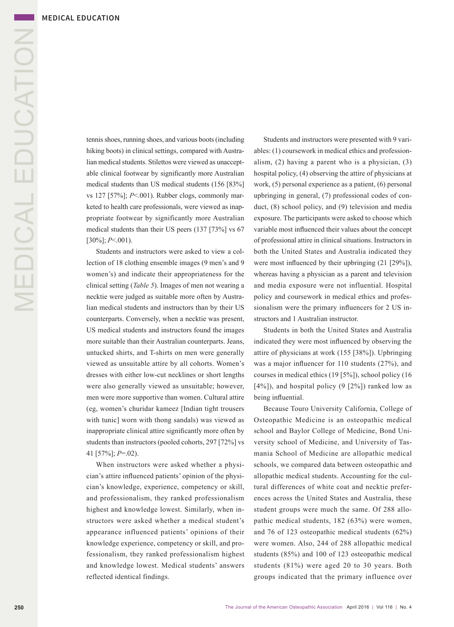tennis shoes, running shoes, and various boots (including hiking boots) in clinical settings, compared with Australian medical students. Stilettos were viewed as unacceptable clinical footwear by significantly more Australian medical students than US medical students (156 [83%] vs 127 [57%]; *P*<.001). Rubber clogs, commonly marketed to health care professionals, were viewed as inappropriate footwear by significantly more Australian medical students than their US peers (137 [73%] vs 67 [30%]; *P*<.001).

Students and instructors were asked to view a collection of 18 clothing ensemble images (9 men's and 9 women's) and indicate their appropriateness for the clinical setting (*Table 5*). Images of men not wearing a necktie were judged as suitable more often by Australian medical students and instructors than by their US counterparts. Conversely, when a necktie was present, US medical students and instructors found the images more suitable than their Australian counterparts. Jeans, untucked shirts, and T-shirts on men were generally viewed as unsuitable attire by all cohorts. Women's dresses with either low-cut necklines or short lengths were also generally viewed as unsuitable; however, men were more supportive than women. Cultural attire (eg, women's churidar kameez [Indian tight trousers with tunic] worn with thong sandals) was viewed as inappropriate clinical attire significantly more often by students than instructors (pooled cohorts, 297 [72%] vs 41 [57%]; *P*=.02).

When instructors were asked whether a physician's attire influenced patients' opinion of the physician's knowledge, experience, competency or skill, and professionalism, they ranked professionalism highest and knowledge lowest. Similarly, when instructors were asked whether a medical student's appearance influenced patients' opinions of their knowledge experience, competency or skill, and professionalism, they ranked professionalism highest and knowledge lowest. Medical students' answers reflected identical findings.

Students and instructors were presented with 9 variables: (1) coursework in medical ethics and professionalism, (2) having a parent who is a physician, (3) hospital policy, (4) observing the attire of physicians at work, (5) personal experience as a patient, (6) personal upbringing in general, (7) professional codes of conduct, (8) school policy, and (9) television and media exposure. The participants were asked to choose which variable most influenced their values about the concept of professional attire in clinical situations. Instructors in both the United States and Australia indicated they were most influenced by their upbringing (21 [29%]), whereas having a physician as a parent and television and media exposure were not influential. Hospital policy and coursework in medical ethics and professionalism were the primary influencers for 2 US instructors and 1 Australian instructor.

Students in both the United States and Australia indicated they were most influenced by observing the attire of physicians at work (155 [38%]). Upbringing was a major influencer for 110 students (27%), and courses in medical ethics (19 [5%]), school policy (16  $[4\%]$ ), and hospital policy (9  $[2\%]$ ) ranked low as being influential.

Because Touro University California, College of Osteopathic Medicine is an osteopathic medical school and Baylor College of Medicine, Bond University school of Medicine, and University of Tasmania School of Medicine are allopathic medical schools, we compared data between osteopathic and allopathic medical students. Accounting for the cultural differences of white coat and necktie preferences across the United States and Australia, these student groups were much the same. Of 288 allopathic medical students, 182 (63%) were women, and 76 of 123 osteopathic medical students (62%) were women. Also, 244 of 288 allopathic medical students (85%) and 100 of 123 osteopathic medical students (81%) were aged 20 to 30 years. Both groups indicated that the primary influence over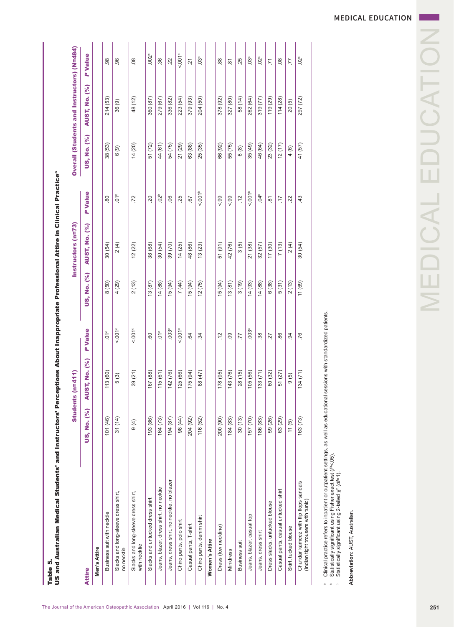|                                                                                                                                                                                                                                                                                       |             | Students (n=411)     |                                |             | Instructors (n=73)   |                           |                     | Overall (Students and Instructors) (N=484) |                |
|---------------------------------------------------------------------------------------------------------------------------------------------------------------------------------------------------------------------------------------------------------------------------------------|-------------|----------------------|--------------------------------|-------------|----------------------|---------------------------|---------------------|--------------------------------------------|----------------|
| Attire                                                                                                                                                                                                                                                                                | US, No. (%) | <b>AUST, No. (%)</b> | <b>P</b> Value                 | US, No. (%) | <b>AUST, No. (%)</b> | <b>P</b> Value            | US, No. (%)         | <b>AUST, No. (%)</b>                       | <b>P</b> Value |
| Men's Attire                                                                                                                                                                                                                                                                          |             |                      |                                |             |                      |                           |                     |                                            |                |
| Business suit with necktie                                                                                                                                                                                                                                                            | 101 (46)    | 113 (60)             | $\stackrel{\circ}{\mathsf{C}}$ | 8(50)       | 30(54)               | $80$                      | 38 (53)             | 214 (53)                                   |                |
| Slacks and long-sleeve dress shirt,<br>no necktie                                                                                                                                                                                                                                     | 31(14)      | 5(3)                 | $<0.01$ $^{\circ}$             | 4(29)       | 2(4)                 | 01 <sup>b</sup>           | (9)                 | 36 (9)                                     |                |
| Slacks and long-sleeve dress shirt,<br>with necktie                                                                                                                                                                                                                                   | 9(4)        | 39 (21)              | $<0.01$ $^{\circ}$             | 2(13)       | 12(22)               | .72                       | 14(20)              | 48 (12)                                    |                |
| Slacks and untucked dress shirt                                                                                                                                                                                                                                                       | 193 (86)    | 167 (88)             | 60                             | 13(87)      | 38 (68)              | 20                        | 51 (72)             | 360 (87)                                   |                |
| Jeans, blazer, dress shirt, no necktie                                                                                                                                                                                                                                                | 164 (73)    | 115(61)              | $\overset{\circ}{\mathsf{C}}$  | 14(88)      | 30 (54)              | 02 <sup>b</sup>           | 44 (61)             | 279 (67)                                   |                |
| Jeans, dress shirt, no necktie, no blazer                                                                                                                                                                                                                                             | 194 (87)    | 142 (76)             | .003                           | 15 (94)     | 39 (70)              | 06                        | 54 (75)             | 336 (82)                                   |                |
| Chino pants, polo shirt                                                                                                                                                                                                                                                               | 98 (44)     | 125 (66)             | $<001^{\circ}$                 | 7(44)       | 14(25)               | 25                        | 21 (29)             | 223 (54)                                   |                |
| Casual pants, T-shirt                                                                                                                                                                                                                                                                 | 204 (92)    | 175 (94)             | 64                             | 15 (94)     | 48 (86)              | 57                        | 63 (88)             | 379 (93)                                   |                |
| Chino pants, denim shirt                                                                                                                                                                                                                                                              | 116 (52)    | 88 (47)              | 34                             | 12(75)      | 13(23)               | 001 <sup>b</sup>          | 25 (35)             | 204 (50)                                   |                |
| Women's Attire                                                                                                                                                                                                                                                                        |             |                      |                                |             |                      |                           |                     |                                            |                |
| Dress (low neckline)                                                                                                                                                                                                                                                                  | 200 (90)    | 178 (95)             | $\frac{1}{2}$                  | 15 (94)     | 51(91)               | 56.5                      | 66 (92)             | 378 (92)                                   |                |
| Minidress                                                                                                                                                                                                                                                                             | 184 (83)    | 143 (76)             | $\overline{0}$                 | 13(81)      | 42 (76)              | $500 - 5$                 | 55 (75)             | 327 (80)                                   |                |
| <b>Business suit</b>                                                                                                                                                                                                                                                                  | 30(13)      | 28 (15)              | 77                             | 3(19)       | 3(5)                 | $\widetilde{\mathcal{L}}$ | 6(8)                | 58 (14)                                    |                |
| Jeans, blazer, casual top                                                                                                                                                                                                                                                             | 157 (70)    | 105 (56)             | .003                           | 14(93)      | 21 (38)              | 001 <sup>b</sup>          | 35 (49)             | 262 (64)                                   |                |
| Jeans, dress shirt                                                                                                                                                                                                                                                                    | 186 (83)    | 133(71)              | 38                             | 14(88)      | 32(57)               | $\ddot{q}$                | 46 (64)             | 319 (77)                                   |                |
| Dress slacks, untucked blouse                                                                                                                                                                                                                                                         | 59 (26)     | 60 (32)              | 27                             | 6(38)       | 17(30)               | $\frac{1}{2}$             | 23 (32)             | 119 (29)                                   |                |
| Casual pants, casual untucked shirt                                                                                                                                                                                                                                                   | 63 (29)     | 51 (27)              | 86                             | 5(31)       | 7(13)                | ۲ŗ.                       | 12(17)              | 114(28)                                    |                |
| Skirt, tucked blouse                                                                                                                                                                                                                                                                  | 11(5)       | 9(5)                 | $\overline{9}$                 | 2(13)       | $\widehat{f}$        | 22                        | $\circledcirc$<br>4 | 20(5)                                      |                |
| Churidar kameez with flip flops sandals<br>(Indian tight trousers with tunic)                                                                                                                                                                                                         | 163 (73)    | 134(71)              | .76                            | 11(69)      | 30(54)               | 43                        | 41 (57)             | 297 (72)                                   |                |
| Clinical practice refers to inpatient or outpatient settings, as well as educational sessions with standardized patients.<br>Statistically significant using Fisher exact test (P<.05).<br>Statistically significant using 2-tailed $\chi^2$ (df=1).<br>a<br>$\mathcal{L}$<br>$\circ$ |             |                      |                                |             |                      |                           |                     |                                            |                |
|                                                                                                                                                                                                                                                                                       |             |                      |                                |             |                      |                           |                     |                                            |                |
| Abbreviation: AUST, Australian.                                                                                                                                                                                                                                                       |             |                      |                                |             |                      |                           |                     |                                            |                |
|                                                                                                                                                                                                                                                                                       |             |                      |                                |             |                      |                           |                     |                                            |                |
|                                                                                                                                                                                                                                                                                       |             |                      |                                |             |                      |                           |                     |                                            |                |
|                                                                                                                                                                                                                                                                                       |             |                      |                                |             |                      |                           |                     |                                            |                |

# **MEDICAL EDUCATION**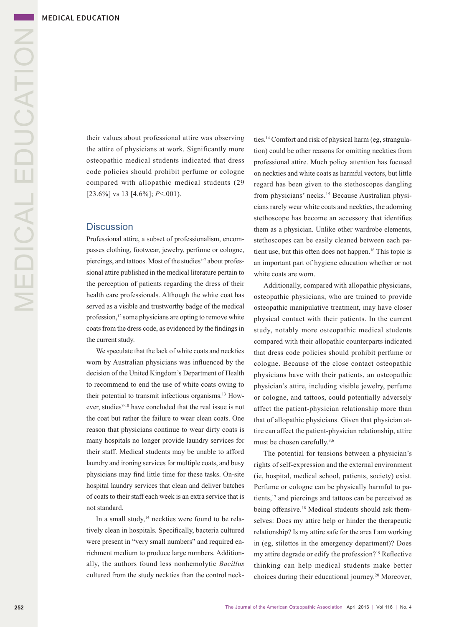their values about professional attire was observing the attire of physicians at work. Significantly more osteopathic medical students indicated that dress code policies should prohibit perfume or cologne compared with allopathic medical students (29 [23.6%] vs 13 [4.6%]; *P*<.001).

### **Discussion**

Professional attire, a subset of professionalism, encompasses clothing, footwear, jewelry, perfume or cologne, piercings, and tattoos. Most of the studies<sup>3-7</sup> about professional attire published in the medical literature pertain to the perception of patients regarding the dress of their health care professionals. Although the white coat has served as a visible and trustworthy badge of the medical profession,<sup>12</sup> some physicians are opting to remove white coats from the dress code, as evidenced by the findings in the current study.

We speculate that the lack of white coats and neckties worn by Australian physicians was influenced by the decision of the United Kingdom's Department of Health to recommend to end the use of white coats owing to their potential to transmit infectious organisms.13 However, studies<sup>8-10</sup> have concluded that the real issue is not the coat but rather the failure to wear clean coats. One reason that physicians continue to wear dirty coats is many hospitals no longer provide laundry services for their staff. Medical students may be unable to afford laundry and ironing services for multiple coats, and busy physicians may find little time for these tasks. On-site hospital laundry services that clean and deliver batches of coats to their staff each week is an extra service that is not standard.

In a small study, $14$  neckties were found to be relatively clean in hospitals. Specifically, bacteria cultured were present in "very small numbers" and required enrichment medium to produce large numbers. Additionally, the authors found less nonhemolytic *Bacillus*  cultured from the study neckties than the control neckties.14 Comfort and risk of physical harm (eg, strangulation) could be other reasons for omitting neckties from professional attire. Much policy attention has focused on neckties and white coats as harmful vectors, but little regard has been given to the stethoscopes dangling from physicians' necks.<sup>15</sup> Because Australian physicians rarely wear white coats and neckties, the adorning stethoscope has become an accessory that identifies them as a physician. Unlike other wardrobe elements, stethoscopes can be easily cleaned between each patient use, but this often does not happen.16 This topic is an important part of hygiene education whether or not white coats are worn.

Additionally, compared with allopathic physicians, osteopathic physicians, who are trained to provide osteopathic manipulative treatment, may have closer physical contact with their patients. In the current study, notably more osteopathic medical students compared with their allopathic counterparts indicated that dress code policies should prohibit perfume or cologne. Because of the close contact osteopathic physicians have with their patients, an osteopathic physician's attire, including visible jewelry, perfume or cologne, and tattoos, could potentially adversely affect the patient-physician relationship more than that of allopathic physicians. Given that physician attire can affect the patient-physician relationship, attire must be chosen carefully.3,6

The potential for tensions between a physician's rights of self-expression and the external environment (ie, hospital, medical school, patients, society) exist. Perfume or cologne can be physically harmful to patients,<sup>17</sup> and piercings and tattoos can be perceived as being offensive.<sup>18</sup> Medical students should ask themselves: Does my attire help or hinder the therapeutic relationship? Is my attire safe for the area I am working in (eg, stilettos in the emergency department)? Does my attire degrade or edify the profession?19 Reflective thinking can help medical students make better choices during their educational journey.<sup>20</sup> Moreover,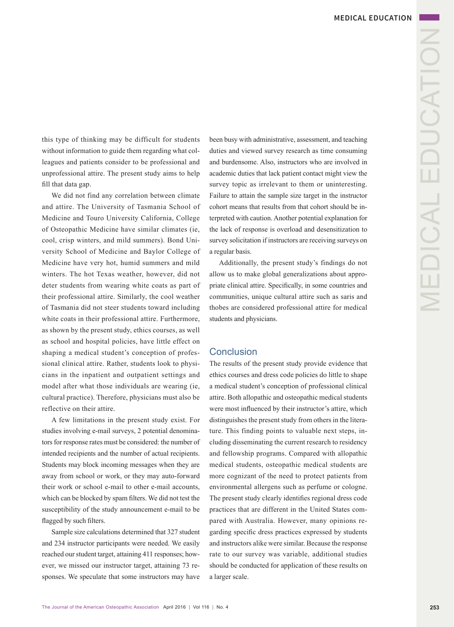this type of thinking may be difficult for students without information to guide them regarding what colleagues and patients consider to be professional and unprofessional attire. The present study aims to help fill that data gap.

We did not find any correlation between climate and attire. The University of Tasmania School of Medicine and Touro University California, College of Osteopathic Medicine have similar climates (ie, cool, crisp winters, and mild summers). Bond University School of Medicine and Baylor College of Medicine have very hot, humid summers and mild winters. The hot Texas weather, however, did not deter students from wearing white coats as part of their professional attire. Similarly, the cool weather of Tasmania did not steer students toward including white coats in their professional attire. Furthermore, as shown by the present study, ethics courses, as well as school and hospital policies, have little effect on shaping a medical student's conception of professional clinical attire. Rather, students look to physicians in the inpatient and outpatient settings and model after what those individuals are wearing (ie, cultural practice). Therefore, physicians must also be reflective on their attire.

A few limitations in the present study exist. For studies involving e-mail surveys, 2 potential denominators for response rates must be considered: the number of intended recipients and the number of actual recipients. Students may block incoming messages when they are away from school or work, or they may auto-forward their work or school e-mail to other e-mail accounts, which can be blocked by spam filters. We did not test the susceptibility of the study announcement e-mail to be flagged by such filters.

Sample size calculations determined that 327 student and 234 instructor participants were needed. We easily reached our student target, attaining 411 responses; however, we missed our instructor target, attaining 73 responses. We speculate that some instructors may have been busy with administrative, assessment, and teaching duties and viewed survey research as time consuming and burdensome. Also, instructors who are involved in academic duties that lack patient contact might view the survey topic as irrelevant to them or uninteresting. Failure to attain the sample size target in the instructor cohort means that results from that cohort should be interpreted with caution. Another potential explanation for the lack of response is overload and desensitization to survey solicitation if instructors are receiving surveys on a regular basis.

Additionally, the present study's findings do not allow us to make global generalizations about appropriate clinical attire. Specifically, in some countries and communities, unique cultural attire such as saris and thobes are considered professional attire for medical students and physicians.

### Conclusion

The results of the present study provide evidence that ethics courses and dress code policies do little to shape a medical student's conception of professional clinical attire. Both allopathic and osteopathic medical students were most influenced by their instructor's attire, which distinguishes the present study from others in the literature. This finding points to valuable next steps, including disseminating the current research to residency and fellowship programs. Compared with allopathic medical students, osteopathic medical students are more cognizant of the need to protect patients from environmental allergens such as perfume or cologne. The present study clearly identifies regional dress code practices that are different in the United States compared with Australia. However, many opinions regarding specific dress practices expressed by students and instructors alike were similar. Because the response rate to our survey was variable, additional studies should be conducted for application of these results on a larger scale.